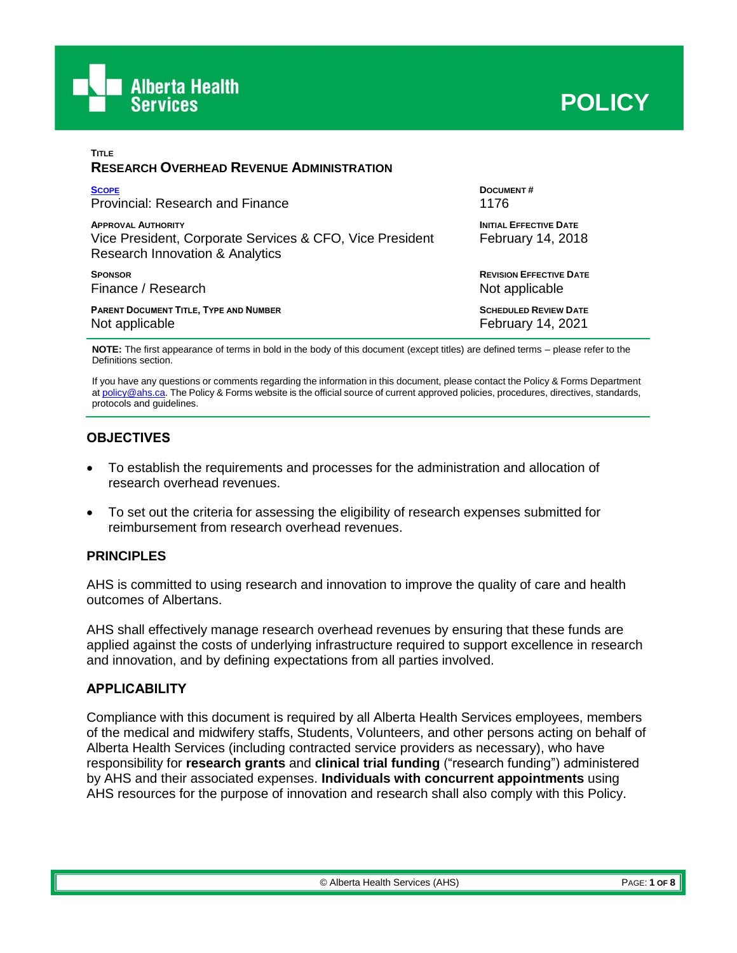

| <b>TITLE</b><br><b>RESEARCH OVERHEAD REVENUE ADMINISTRATION</b>                                                          |                                                    |
|--------------------------------------------------------------------------------------------------------------------------|----------------------------------------------------|
| <b>SCOPE</b>                                                                                                             | <b>DOCUMENT#</b>                                   |
| Provincial: Research and Finance                                                                                         | 1176                                               |
| <b>APPROVAL AUTHORITY</b><br>Vice President, Corporate Services & CFO, Vice President<br>Research Innovation & Analytics | <b>INITIAL EFFECTIVE DATE</b><br>February 14, 2018 |
| <b>SPONSOR</b>                                                                                                           | <b>REVISION EFFECTIVE DATE</b>                     |
| Finance / Research                                                                                                       | Not applicable                                     |
| <b>PARENT DOCUMENT TITLE, TYPE AND NUMBER</b>                                                                            | <b>SCHEDULED REVIEW DATE</b>                       |
| Not applicable                                                                                                           | <b>February 14, 2021</b>                           |

**NOTE:** The first appearance of terms in bold in the body of this document (except titles) are defined terms – please refer to the Definitions section.

If you have any questions or comments regarding the information in this document, please contact the Policy & Forms Department a[t policy@ahs.ca.](mailto:policy@ahs.ca) The Policy & Forms website is the official source of current approved policies, procedures, directives, standards, protocols and guidelines.

## **OBJECTIVES**

- To establish the requirements and processes for the administration and allocation of research overhead revenues.
- To set out the criteria for assessing the eligibility of research expenses submitted for reimbursement from research overhead revenues.

#### **PRINCIPLES**

AHS is committed to using research and innovation to improve the quality of care and health outcomes of Albertans.

AHS shall effectively manage research overhead revenues by ensuring that these funds are applied against the costs of underlying infrastructure required to support excellence in research and innovation, and by defining expectations from all parties involved.

#### <span id="page-0-0"></span>**APPLICABILITY**

Compliance with this document is required by all Alberta Health Services employees, members of the medical and midwifery staffs, Students, Volunteers, and other persons acting on behalf of Alberta Health Services (including contracted service providers as necessary), who have responsibility for **research grants** and **clinical trial funding** ("research funding") administered by AHS and their associated expenses. **Individuals with concurrent appointments** using AHS resources for the purpose of innovation and research shall also comply with this Policy.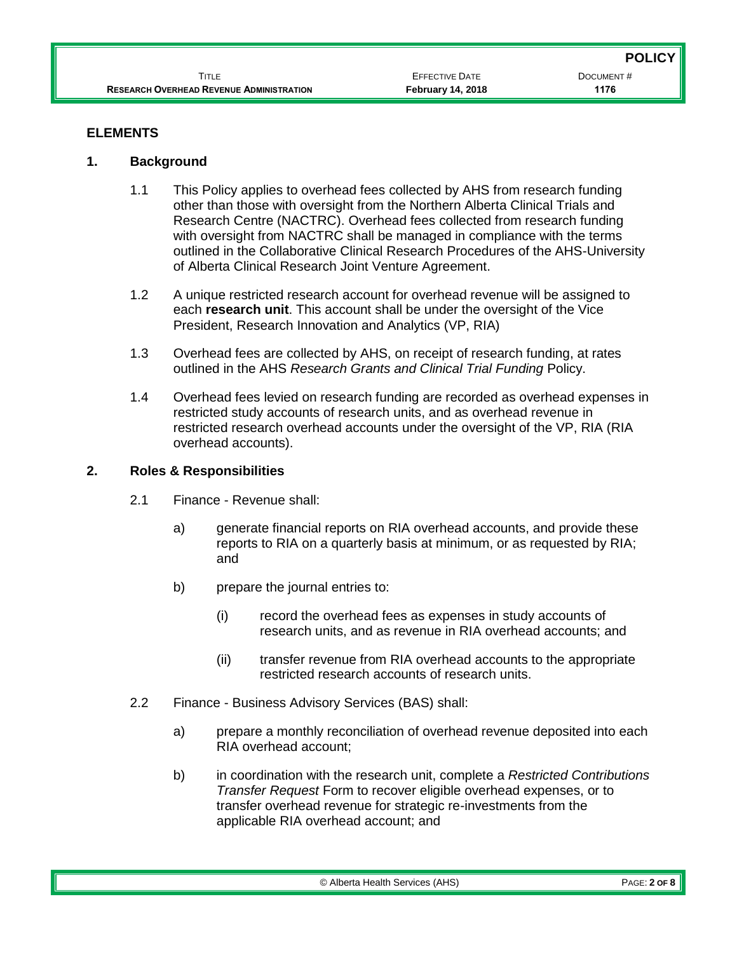#### **ELEMENTS**

#### **1. Background**

- 1.1 This Policy applies to overhead fees collected by AHS from research funding other than those with oversight from the Northern Alberta Clinical Trials and Research Centre (NACTRC). Overhead fees collected from research funding with oversight from NACTRC shall be managed in compliance with the terms outlined in the Collaborative Clinical Research Procedures of the AHS-University of Alberta Clinical Research Joint Venture Agreement.
- 1.2 A unique restricted research account for overhead revenue will be assigned to each **research unit**. This account shall be under the oversight of the Vice President, Research Innovation and Analytics (VP, RIA)
- 1.3 Overhead fees are collected by AHS, on receipt of research funding, at rates outlined in the AHS *Research Grants and Clinical Trial Funding* Policy.
- 1.4 Overhead fees levied on research funding are recorded as overhead expenses in restricted study accounts of research units, and as overhead revenue in restricted research overhead accounts under the oversight of the VP, RIA (RIA overhead accounts).

#### **2. Roles & Responsibilities**

- 2.1 Finance Revenue shall:
	- a) generate financial reports on RIA overhead accounts, and provide these reports to RIA on a quarterly basis at minimum, or as requested by RIA; and
	- b) prepare the journal entries to:
		- (i) record the overhead fees as expenses in study accounts of research units, and as revenue in RIA overhead accounts; and
		- (ii) transfer revenue from RIA overhead accounts to the appropriate restricted research accounts of research units.
- 2.2 Finance Business Advisory Services (BAS) shall:
	- a) prepare a monthly reconciliation of overhead revenue deposited into each RIA overhead account;
	- b) in coordination with the research unit, complete a *Restricted Contributions Transfer Request* Form to recover eligible overhead expenses, or to transfer overhead revenue for strategic re-investments from the applicable RIA overhead account; and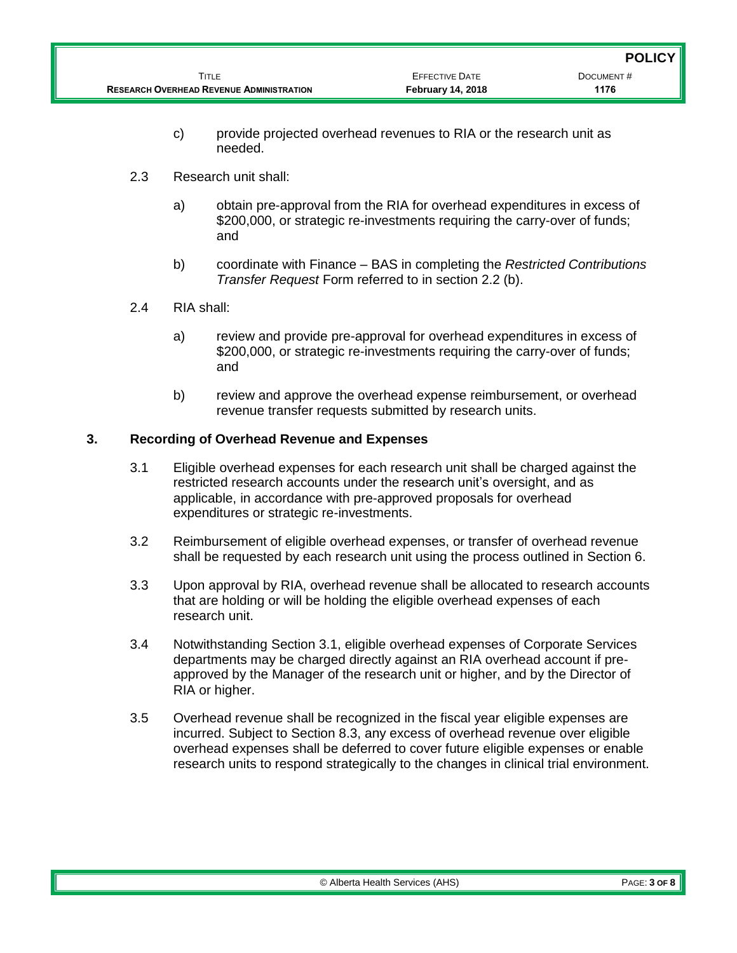- c) provide projected overhead revenues to RIA or the research unit as needed.
- 2.3 Research unit shall:
	- a) obtain pre-approval from the RIA for overhead expenditures in excess of \$200,000, or strategic re-investments requiring the carry-over of funds; and
	- b) coordinate with Finance BAS in completing the *Restricted Contributions Transfer Request* Form referred to in section 2.2 (b).
- 2.4 RIA shall:
	- a) review and provide pre-approval for overhead expenditures in excess of \$200,000, or strategic re-investments requiring the carry-over of funds; and
	- b) review and approve the overhead expense reimbursement, or overhead revenue transfer requests submitted by research units.

## **3. Recording of Overhead Revenue and Expenses**

- 3.1 Eligible overhead expenses for each research unit shall be charged against the restricted research accounts under the research unit's oversight, and as applicable, in accordance with pre-approved proposals for overhead expenditures or strategic re-investments.
- 3.2 Reimbursement of eligible overhead expenses, or transfer of overhead revenue shall be requested by each research unit using the process outlined in Section 6.
- 3.3 Upon approval by RIA, overhead revenue shall be allocated to research accounts that are holding or will be holding the eligible overhead expenses of each research unit.
- 3.4 Notwithstanding Section 3.1, eligible overhead expenses of Corporate Services departments may be charged directly against an RIA overhead account if preapproved by the Manager of the research unit or higher, and by the Director of RIA or higher.
- 3.5 Overhead revenue shall be recognized in the fiscal year eligible expenses are incurred. Subject to Section 8.3, any excess of overhead revenue over eligible overhead expenses shall be deferred to cover future eligible expenses or enable research units to respond strategically to the changes in clinical trial environment.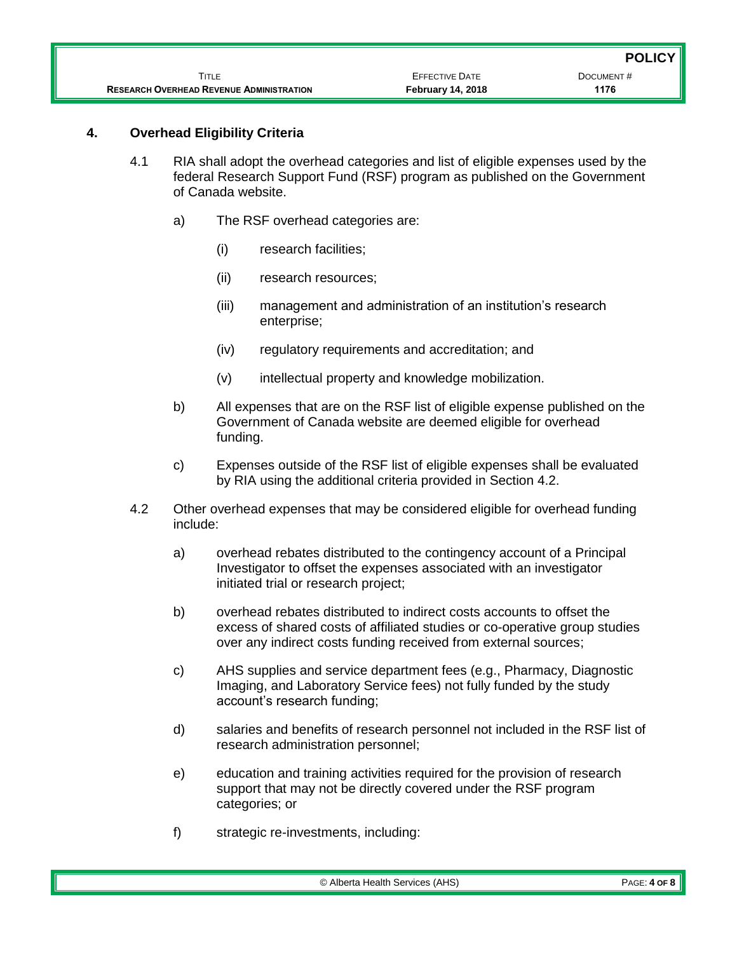|                                                 |                          | <b>POLICY</b> |
|-------------------------------------------------|--------------------------|---------------|
| Title                                           | <b>EFFECTIVE DATE</b>    | DOCUMENT#     |
| <b>RESEARCH OVERHEAD REVENUE ADMINISTRATION</b> | <b>February 14, 2018</b> | 1176          |

### **4. Overhead Eligibility Criteria**

- 4.1 RIA shall adopt the overhead categories and list of eligible expenses used by the federal Research Support Fund (RSF) program as published on the Government of Canada website.
	- a) The RSF overhead categories are:
		- (i) research facilities;
		- (ii) research resources;
		- (iii) management and administration of an institution's research enterprise;
		- (iv) regulatory requirements and accreditation; and
		- (v) intellectual property and knowledge mobilization.
	- b) All expenses that are on the RSF list of eligible expense published on the Government of Canada website are deemed eligible for overhead funding.
	- c) Expenses outside of the RSF list of eligible expenses shall be evaluated by RIA using the additional criteria provided in Section 4.2.
- 4.2 Other overhead expenses that may be considered eligible for overhead funding include:
	- a) overhead rebates distributed to the contingency account of a Principal Investigator to offset the expenses associated with an investigator initiated trial or research project;
	- b) overhead rebates distributed to indirect costs accounts to offset the excess of shared costs of affiliated studies or co-operative group studies over any indirect costs funding received from external sources;
	- c) AHS supplies and service department fees (e.g., Pharmacy, Diagnostic Imaging, and Laboratory Service fees) not fully funded by the study account's research funding;
	- d) salaries and benefits of research personnel not included in the RSF list of research administration personnel;
	- e) education and training activities required for the provision of research support that may not be directly covered under the RSF program categories; or
	- f) strategic re-investments, including: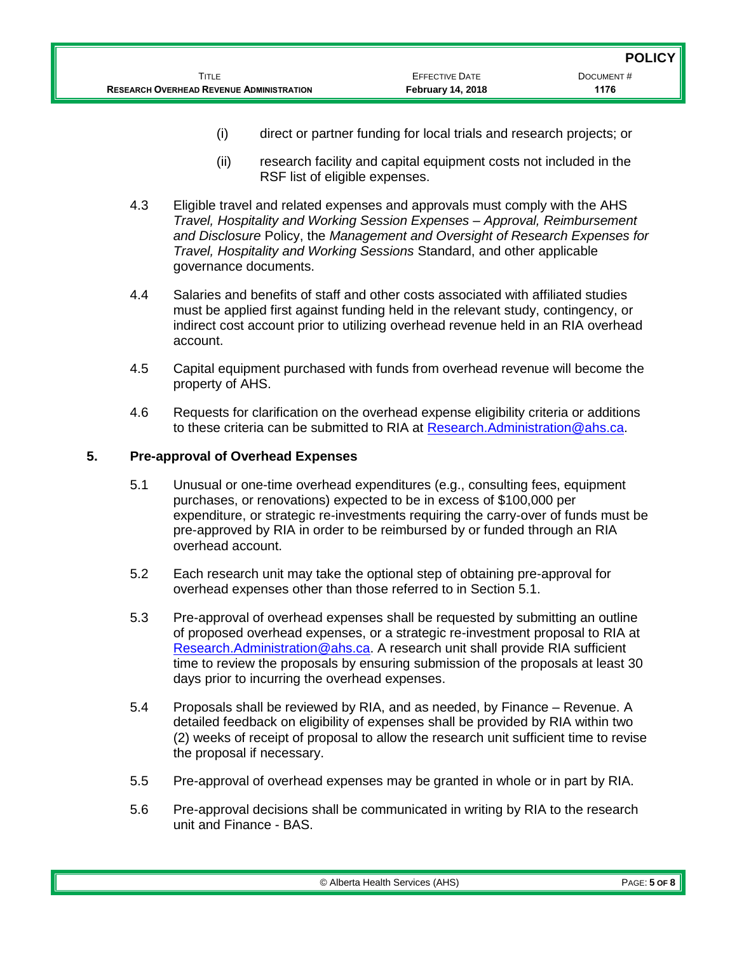- (i) direct or partner funding for local trials and research projects; or
- (ii) research facility and capital equipment costs not included in the RSF list of eligible expenses.
- 4.3 Eligible travel and related expenses and approvals must comply with the AHS *Travel, Hospitality and Working Session Expenses – Approval, Reimbursement and Disclosure* Policy, the *Management and Oversight of Research Expenses for Travel, Hospitality and Working Sessions* Standard, and other applicable governance documents.
- 4.4 Salaries and benefits of staff and other costs associated with affiliated studies must be applied first against funding held in the relevant study, contingency, or indirect cost account prior to utilizing overhead revenue held in an RIA overhead account.
- 4.5 Capital equipment purchased with funds from overhead revenue will become the property of AHS.
- 4.6 Requests for clarification on the overhead expense eligibility criteria or additions to these criteria can be submitted to RIA at [Research.Administration@ahs.ca.](mailto:Research.Administration@ahs.ca)

## **5. Pre-approval of Overhead Expenses**

- 5.1 Unusual or one-time overhead expenditures (e.g., consulting fees, equipment purchases, or renovations) expected to be in excess of \$100,000 per expenditure, or strategic re-investments requiring the carry-over of funds must be pre-approved by RIA in order to be reimbursed by or funded through an RIA overhead account.
- 5.2 Each research unit may take the optional step of obtaining pre-approval for overhead expenses other than those referred to in Section 5.1.
- 5.3 Pre-approval of overhead expenses shall be requested by submitting an outline of proposed overhead expenses, or a strategic re-investment proposal to RIA at [Research.Administration@ahs.ca.](mailto:Research.Administration@ahs.ca) A research unit shall provide RIA sufficient time to review the proposals by ensuring submission of the proposals at least 30 days prior to incurring the overhead expenses.
- 5.4 Proposals shall be reviewed by RIA, and as needed, by Finance Revenue. A detailed feedback on eligibility of expenses shall be provided by RIA within two (2) weeks of receipt of proposal to allow the research unit sufficient time to revise the proposal if necessary.
- 5.5 Pre-approval of overhead expenses may be granted in whole or in part by RIA.
- 5.6 Pre-approval decisions shall be communicated in writing by RIA to the research unit and Finance - BAS.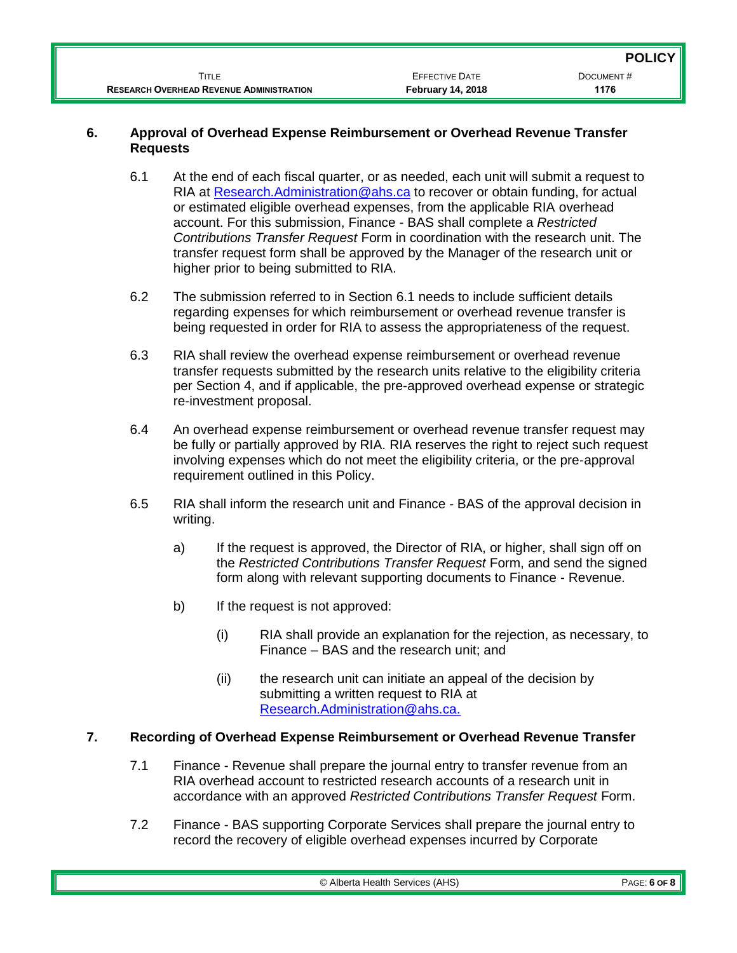|                                                 |                          | <b>POLICY</b> |
|-------------------------------------------------|--------------------------|---------------|
| Title                                           | <b>EFFECTIVE DATE</b>    | DOCUMENT#     |
| <b>RESEARCH OVERHEAD REVENUE ADMINISTRATION</b> | <b>February 14, 2018</b> | 1176          |

#### **6. Approval of Overhead Expense Reimbursement or Overhead Revenue Transfer Requests**

- 6.1 At the end of each fiscal quarter, or as needed, each unit will submit a request to RIA at [Research.Administration@ahs.ca](mailto:Research.Administration@ahs.ca) to recover or obtain funding, for actual or estimated eligible overhead expenses, from the applicable RIA overhead account. For this submission, Finance - BAS shall complete a *Restricted Contributions Transfer Request* Form in coordination with the research unit. The transfer request form shall be approved by the Manager of the research unit or higher prior to being submitted to RIA.
- 6.2 The submission referred to in Section 6.1 needs to include sufficient details regarding expenses for which reimbursement or overhead revenue transfer is being requested in order for RIA to assess the appropriateness of the request.
- 6.3 RIA shall review the overhead expense reimbursement or overhead revenue transfer requests submitted by the research units relative to the eligibility criteria per Section 4, and if applicable, the pre-approved overhead expense or strategic re-investment proposal.
- 6.4 An overhead expense reimbursement or overhead revenue transfer request may be fully or partially approved by RIA. RIA reserves the right to reject such request involving expenses which do not meet the eligibility criteria, or the pre-approval requirement outlined in this Policy.
- 6.5 RIA shall inform the research unit and Finance BAS of the approval decision in writing.
	- a) If the request is approved, the Director of RIA, or higher, shall sign off on the *Restricted Contributions Transfer Request* Form, and send the signed form along with relevant supporting documents to Finance - Revenue.
	- b) If the request is not approved:
		- (i) RIA shall provide an explanation for the rejection, as necessary, to Finance – BAS and the research unit; and
		- (ii) the research unit can initiate an appeal of the decision by submitting a written request to RIA at [Research.Administration@ahs.ca.](mailto:Research.Administration@ahs.ca)

# **7. Recording of Overhead Expense Reimbursement or Overhead Revenue Transfer**

- 7.1 Finance Revenue shall prepare the journal entry to transfer revenue from an RIA overhead account to restricted research accounts of a research unit in accordance with an approved *Restricted Contributions Transfer Request* Form.
- 7.2 Finance BAS supporting Corporate Services shall prepare the journal entry to record the recovery of eligible overhead expenses incurred by Corporate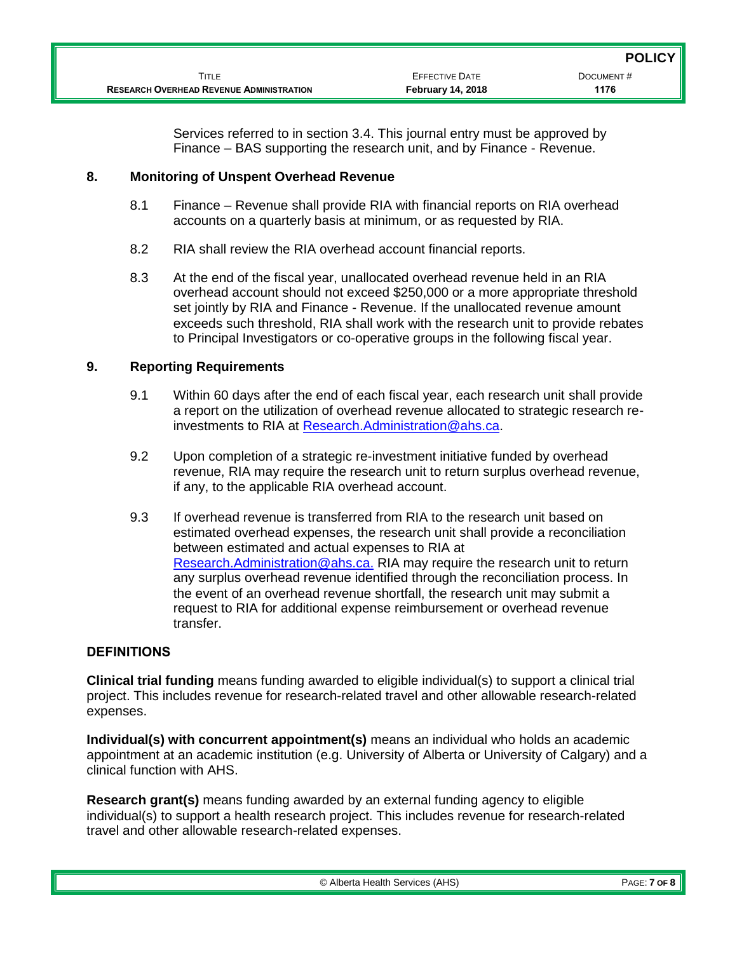Services referred to in section 3.4. This journal entry must be approved by Finance – BAS supporting the research unit, and by Finance - Revenue.

### **8. Monitoring of Unspent Overhead Revenue**

- 8.1 Finance Revenue shall provide RIA with financial reports on RIA overhead accounts on a quarterly basis at minimum, or as requested by RIA.
- 8.2 RIA shall review the RIA overhead account financial reports.
- 8.3 At the end of the fiscal year, unallocated overhead revenue held in an RIA overhead account should not exceed \$250,000 or a more appropriate threshold set jointly by RIA and Finance - Revenue. If the unallocated revenue amount exceeds such threshold, RIA shall work with the research unit to provide rebates to Principal Investigators or co-operative groups in the following fiscal year.

## **9. Reporting Requirements**

- 9.1 Within 60 days after the end of each fiscal year, each research unit shall provide a report on the utilization of overhead revenue allocated to strategic research reinvestments to RIA at [Research.Administration@ahs.ca.](mailto:Research.Administration@ahs.ca)
- 9.2 Upon completion of a strategic re-investment initiative funded by overhead revenue, RIA may require the research unit to return surplus overhead revenue, if any, to the applicable RIA overhead account.
- 9.3 If overhead revenue is transferred from RIA to the research unit based on estimated overhead expenses, the research unit shall provide a reconciliation between estimated and actual expenses to RIA at [Research.Administration@ahs.ca.](mailto:Research.Administration@ahs.ca) RIA may require the research unit to return any surplus overhead revenue identified through the reconciliation process. In the event of an overhead revenue shortfall, the research unit may submit a request to RIA for additional expense reimbursement or overhead revenue transfer.

## **DEFINITIONS**

**Clinical trial funding** means funding awarded to eligible individual(s) to support a clinical trial project. This includes revenue for research-related travel and other allowable research-related expenses.

**Individual(s) with concurrent appointment(s)** means an individual who holds an academic appointment at an academic institution (e.g. University of Alberta or University of Calgary) and a clinical function with AHS.

**Research grant(s)** means funding awarded by an external funding agency to eligible individual(s) to support a health research project. This includes revenue for research-related travel and other allowable research-related expenses.

© Alberta Health Services (AHS) PAGE: **7 OF 8**